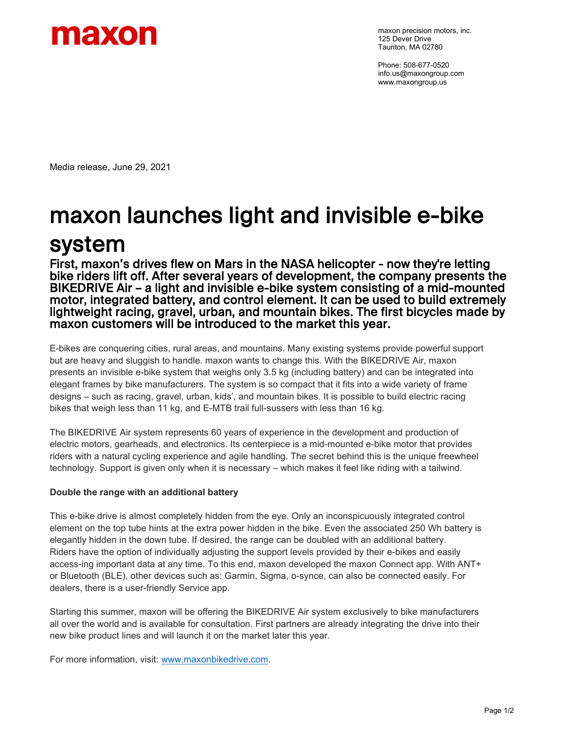

maxon precision motors, inc. 125 Dever Drive Taunton, MA 02780

Phone: 508-677-0520 info.us@maxongroup.com www.maxongroup.us

Media release, June 29, 2021

## maxon launches light and invisible e-bike **SYSTEM**<br>First, maxon's drives flew on Mars in the NASA helicopter - now they're letting

bike riders lift off. After several years of development, the company presents the BIKEDRIVE Air – a light and invisible e-bike system consisting of a mid-mounted motor, integrated battery, and control element. It can be used to build extremely lightweight racing, gravel, urban, and mountain bikes. The first bicycles made by maxon customers will be introduced to the market this year.

E-bikes are conquering cities, rural areas, and mountains. Many existing systems provide powerful support but are heavy and sluggish to handle. maxon wants to change this. With the BIKEDRIVE Air, maxon presents an invisible e-bike system that weighs only 3.5 kg (including battery) and can be integrated into elegant frames by bike manufacturers. The system is so compact that it fits into a wide variety of frame designs – such as racing, gravel, urban, kids', and mountain bikes. It is possible to build electric racing bikes that weigh less than 11 kg, and E-MTB trail full-sussers with less than 16 kg.

The BIKEDRIVE Air system represents 60 years of experience in the development and production of electric motors, gearheads, and electronics. Its centerpiece is a mid-mounted e-bike motor that provides riders with a natural cycling experience and agile handling. The secret behind this is the unique freewheel technology. Support is given only when it is necessary – which makes it feel like riding with a tailwind.

## **Double the range with an additional battery**

This e-bike drive is almost completely hidden from the eye. Only an inconspicuously integrated control element on the top tube hints at the extra power hidden in the bike. Even the associated 250 Wh battery is elegantly hidden in the down tube. If desired, the range can be doubled with an additional battery. Riders have the option of individually adjusting the support levels provided by their e-bikes and easily access-ing important data at any time. To this end, maxon developed the maxon Connect app. With ANT+ or Bluetooth (BLE), other devices such as: Garmin, Sigma, o-synce, can also be connected easily. For dealers, there is a user-friendly Service app.

Starting this summer, maxon will be offering the BIKEDRIVE Air system exclusively to bike manufacturers all over the world and is available for consultation. First partners are already integrating the drive into their new bike product lines and will launch it on the market later this year.

For more information, visit: [www.maxonbikedrive.com.](http://www.maxonbikedrive.com/)